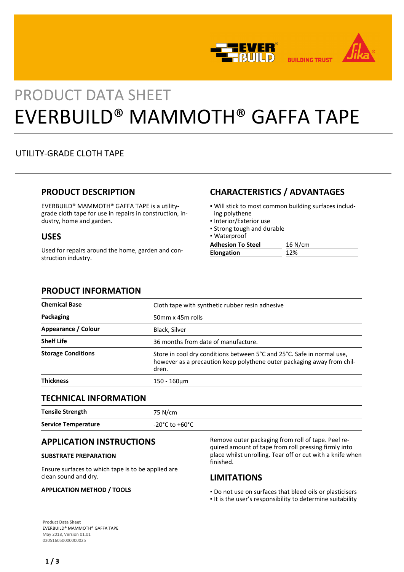



# PRODUCT DATA SHEET EVERBUILD® MAMMOTH® GAFFA TAPE

# UTILITY-GRADE CLOTH TAPE

## **PRODUCT DESCRIPTION**

EVERBUILD® MAMMOTH® GAFFA TAPE is a utilitygrade cloth tape for use in repairs in construction, industry, home and garden.

## **USES**

Used for repairs around the home, garden and construction industry.

## **CHARACTERISTICS / ADVANTAGES**

- Will stick to most common building surfaces includ-▪ ing polythene
- Interior/Exterior use
- **.** Strong tough and durable
- Waterproof

| <b>Adhesion To Steel</b> | $16$ N/cm |
|--------------------------|-----------|
| <b>Elongation</b>        |           |

## **PRODUCT INFORMATION**

| <b>Chemical Base</b>      | Cloth tape with synthetic rubber resin adhesive                                                                                                           |
|---------------------------|-----------------------------------------------------------------------------------------------------------------------------------------------------------|
| Packaging                 | 50mm x 45m rolls                                                                                                                                          |
| Appearance / Colour       | Black, Silver                                                                                                                                             |
| <b>Shelf Life</b>         | 36 months from date of manufacture.                                                                                                                       |
| <b>Storage Conditions</b> | Store in cool dry conditions between 5°C and 25°C. Safe in normal use,<br>however as a precaution keep polythene outer packaging away from chil-<br>dren. |
| <b>Thickness</b>          | 150 - 160um                                                                                                                                               |

## **TECHNICAL INFORMATION**

| <b>Tensile Strength</b>    | 75 N/cm        |
|----------------------------|----------------|
| <b>Service Temperature</b> | -20°C to +60°C |

## **APPLICATION INSTRUCTIONS**

## **SUBSTRATE PREPARATION**

Ensure surfaces to which tape is to be applied are clean sound and dry.

## **APPLICATION METHOD / TOOLS**

Remove outer packaging from roll of tape. Peel required amount of tape from roll pressing firmly into place whilst unrolling. Tear off or cut with a knife when finished.

## **LIMITATIONS**

- Do not use on surfaces that bleed oils or plasticisers
- It is the user's responsibility to determine suitability

**Product Data Sheet** EVERBUILD® MAMMOTH® GAFFA TAPE May 2018, Version 01.01 020516050000000025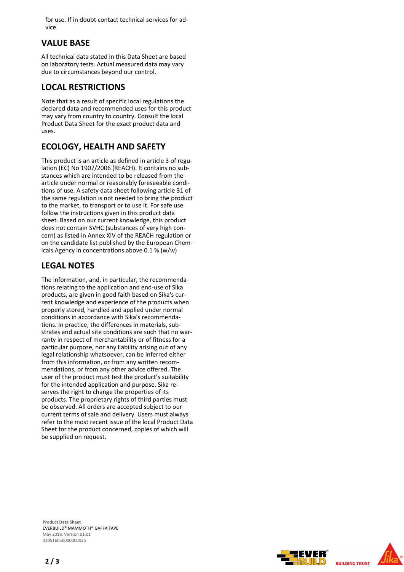for use. If in doubt contact technical services for advice

## **VALUE BASE**

All technical data stated in this Data Sheet are based on laboratory tests. Actual measured data may vary due to circumstances beyond our control.

## **LOCAL RESTRICTIONS**

Note that as a result of specific local regulations the declared data and recommended uses for this product may vary from country to country. Consult the local Product Data Sheet for the exact product data and uses.

# **ECOLOGY, HEALTH AND SAFETY**

This product is an article as defined in article 3 of regulation (EC) No 1907/2006 (REACH). It contains no substances which are intended to be released from the article under normal or reasonably foreseeable conditions of use. A safety data sheet following article 31 of the same regulation is not needed to bring the product to the market, to transport or to use it. For safe use follow the instructions given in this product data sheet. Based on our current knowledge, this product does not contain SVHC (substances of very high concern) as listed in Annex XIV of the REACH regulation or on the candidate list published by the European Chemicals Agency in concentrations above 0.1 % (w/w)

## **LEGAL NOTES**

The information, and, in particular, the recommendations relating to the application and end-use of Sika products, are given in good faith based on Sika's current knowledge and experience of the products when properly stored, handled and applied under normal conditions in accordance with Sika's recommendations. In practice, the differences in materials, substrates and actual site conditions are such that no warranty in respect of merchantability or of fitness for a particular purpose, nor any liability arising out of any legal relationship whatsoever, can be inferred either from this information, or from any written recommendations, or from any other advice offered. The user of the product must test the product's suitability for the intended application and purpose. Sika reserves the right to change the properties of its products. The proprietary rights of third parties must be observed. All orders are accepted subject to our current terms of sale and delivery. Users must always refer to the most recent issue of the local Product Data Sheet for the product concerned, copies of which will be supplied on request.

**Product Data Sheet** EVERBUILD® MAMMOTH® GAFFA TAPE May 2018, Version 01.01 020516050000000025